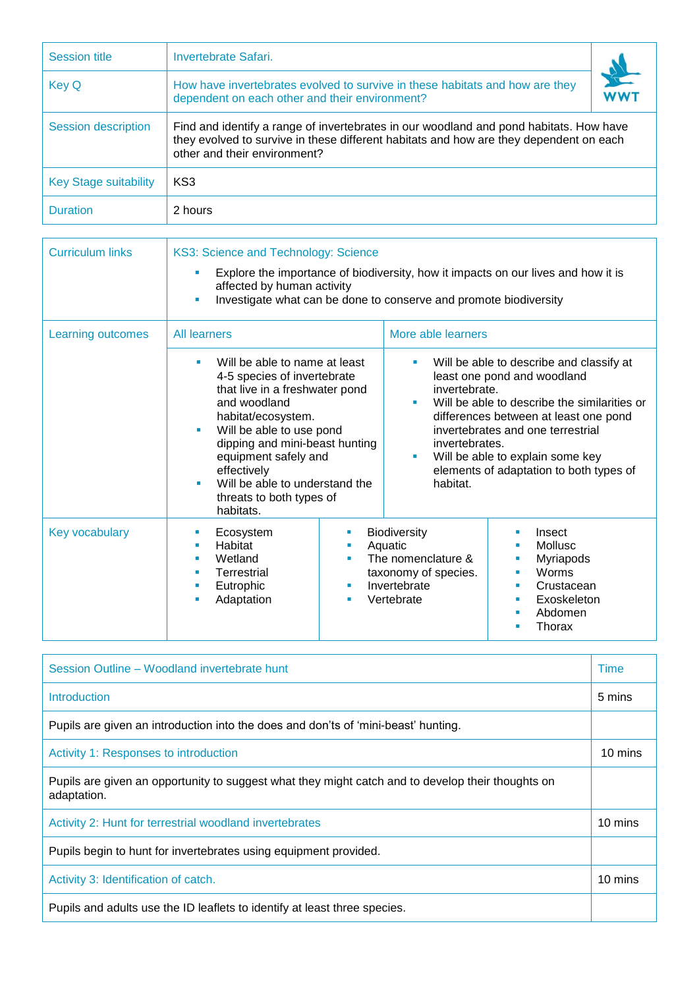| <b>Session title</b>         | Invertebrate Safari.                                                                                                                                                                                             |           |  |
|------------------------------|------------------------------------------------------------------------------------------------------------------------------------------------------------------------------------------------------------------|-----------|--|
| <b>Key Q</b>                 | How have invertebrates evolved to survive in these habitats and how are they<br>dependent on each other and their environment?                                                                                   | <b>WW</b> |  |
| <b>Session description</b>   | Find and identify a range of invertebrates in our woodland and pond habitats. How have<br>they evolved to survive in these different habitats and how are they dependent on each<br>other and their environment? |           |  |
| <b>Key Stage suitability</b> | KS <sub>3</sub>                                                                                                                                                                                                  |           |  |
| <b>Duration</b>              | 2 hours                                                                                                                                                                                                          |           |  |

| <b>Curriculum links</b>  | KS3: Science and Technology: Science<br>Explore the importance of biodiversity, how it impacts on our lives and how it is<br>ш<br>affected by human activity<br>Investigate what can be done to conserve and promote biodiversity<br>$\blacksquare$                                                                            |                                                                                                                                     |                                                                                                                                                                                                                                                                                                                         |  |  |
|--------------------------|--------------------------------------------------------------------------------------------------------------------------------------------------------------------------------------------------------------------------------------------------------------------------------------------------------------------------------|-------------------------------------------------------------------------------------------------------------------------------------|-------------------------------------------------------------------------------------------------------------------------------------------------------------------------------------------------------------------------------------------------------------------------------------------------------------------------|--|--|
|                          |                                                                                                                                                                                                                                                                                                                                |                                                                                                                                     |                                                                                                                                                                                                                                                                                                                         |  |  |
| <b>Learning outcomes</b> | <b>All learners</b>                                                                                                                                                                                                                                                                                                            | More able learners                                                                                                                  |                                                                                                                                                                                                                                                                                                                         |  |  |
|                          | Will be able to name at least<br>٠<br>4-5 species of invertebrate<br>that live in a freshwater pond<br>and woodland<br>habitat/ecosystem.<br>Will be able to use pond<br>ш<br>dipping and mini-beast hunting<br>equipment safely and<br>effectively<br>Will be able to understand the<br>threats to both types of<br>habitats. | ٠<br>٠<br>a.<br>habitat.                                                                                                            | Will be able to describe and classify at<br>least one pond and woodland<br>invertebrate.<br>Will be able to describe the similarities or<br>differences between at least one pond<br>invertebrates and one terrestrial<br>invertebrates.<br>Will be able to explain some key<br>elements of adaptation to both types of |  |  |
| <b>Key vocabulary</b>    | Ecosystem<br>ш<br>Habitat<br>ш<br>Wetland<br>п<br>Terrestrial<br>п<br>Eutrophic<br>ш<br>Adaptation                                                                                                                                                                                                                             | <b>Biodiversity</b><br>×<br>Aquatic<br>ш<br>The nomenclature &<br>٠<br>taxonomy of species.<br>Invertebrate<br>ш<br>Vertebrate<br>ш | Insect<br>Mollusc<br>٠<br><b>Myriapods</b><br>п<br>Worms<br>ш<br>Crustacean<br>×<br>Exoskeleton<br>٠<br>Abdomen<br>٠<br>Thorax                                                                                                                                                                                          |  |  |

| Session Outline – Woodland invertebrate hunt                                                                     |         |  |
|------------------------------------------------------------------------------------------------------------------|---------|--|
| Introduction                                                                                                     | 5 mins  |  |
| Pupils are given an introduction into the does and don'ts of 'mini-beast' hunting.                               |         |  |
| Activity 1: Responses to introduction                                                                            | 10 mins |  |
| Pupils are given an opportunity to suggest what they might catch and to develop their thoughts on<br>adaptation. |         |  |
| Activity 2: Hunt for terrestrial woodland invertebrates                                                          | 10 mins |  |
| Pupils begin to hunt for invertebrates using equipment provided.                                                 |         |  |
| Activity 3: Identification of catch.                                                                             | 10 mins |  |
| Pupils and adults use the ID leaflets to identify at least three species.                                        |         |  |